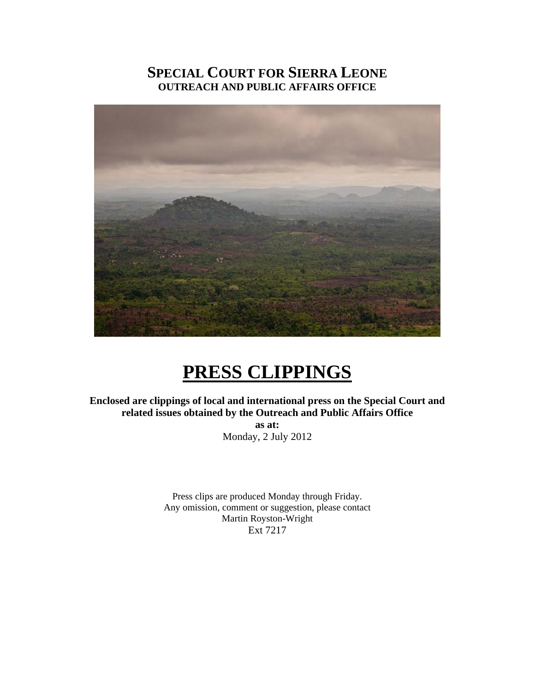# **SPECIAL COURT FOR SIERRA LEONE OUTREACH AND PUBLIC AFFAIRS OFFICE**



# **PRESS CLIPPINGS**

**Enclosed are clippings of local and international press on the Special Court and related issues obtained by the Outreach and Public Affairs Office** 

> **as at:**  Monday, 2 July 2012

Press clips are produced Monday through Friday. Any omission, comment or suggestion, please contact Martin Royston-Wright Ext 7217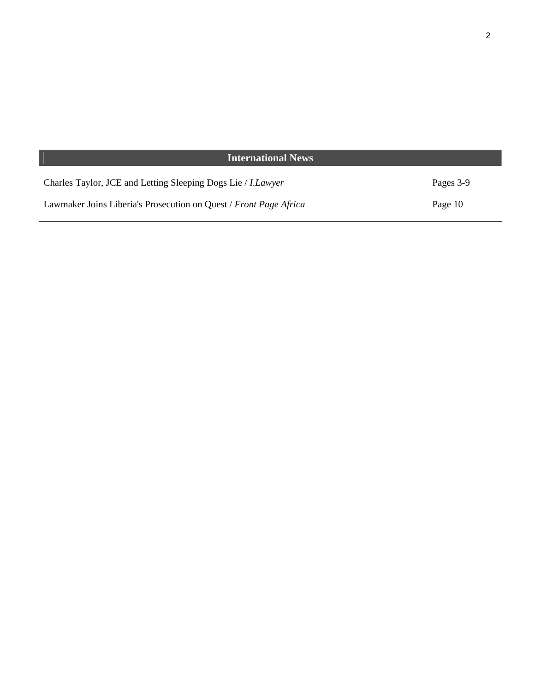| <b>International News</b>                                           |           |
|---------------------------------------------------------------------|-----------|
| Charles Taylor, JCE and Letting Sleeping Dogs Lie / <i>I.Lawyer</i> | Pages 3-9 |
| Lawmaker Joins Liberia's Prosecution on Quest / Front Page Africa   | Page 10   |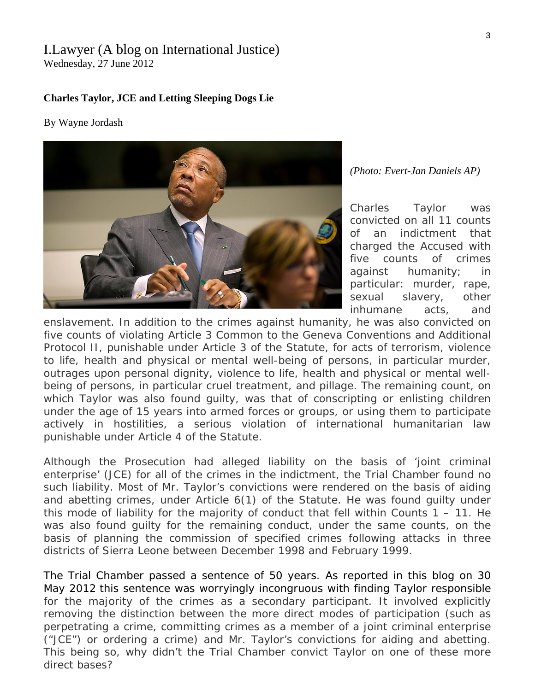# I.Lawyer (A blog on International Justice)

Wednesday, 27 June 2012

#### **[Charles Taylor, JCE and Letting Sleeping Dogs Lie](http://ilawyerblog.com/charles-taylor-jce-and-letting-sleeping-dogs-lie/)**

#### By Wayne Jordash



*(Photo: Evert-Jan Daniels AP)* 

Charles Taylor was convicted on all 11 counts of an indictment that charged the Accused with five counts of crimes against humanity; in particular: murder, rape, sexual slavery, other inhumane acts, and

enslavement. In addition to the crimes against humanity, he was also convicted on five counts of violating Article 3 Common to the Geneva Conventions and Additional Protocol II, punishable under Article 3 of the Statute, for acts of terrorism, violence to life, health and physical or mental well-being of persons, in particular murder, outrages upon personal dignity, violence to life, health and physical or mental wellbeing of persons, in particular cruel treatment, and pillage. The remaining count, on which Taylor was also found quilty, was that of conscripting or enlisting children under the age of 15 years into armed forces or groups, or using them to participate actively in hostilities, a serious violation of international humanitarian law punishable under Article 4 of the Statute.

Although the Prosecution had alleged liability on the basis of 'joint criminal enterprise' (JCE) for all of the crimes in the indictment, the Trial Chamber found no such liability. Most of Mr. Taylor's convictions were rendered on the basis of aiding and abetting crimes, under Article 6(1) of the Statute. He was found guilty under this mode of liability for the majority of conduct that fell within Counts  $1 - 11$ . He was also found guilty for the remaining conduct, under the same counts, on the basis of planning the commission of specified crimes following attacks in three districts of Sierra Leone between December 1998 and February 1999.

The Trial Chamber passed a sentence of 50 years. As [reported in this blog on 30](http://ilawyerblog.com/charles-taylor-sentenced-to-50-years-imprisonment-at-the-scsl/)  [May 2012](http://ilawyerblog.com/charles-taylor-sentenced-to-50-years-imprisonment-at-the-scsl/) this sentence was worryingly incongruous with finding Taylor responsible for the majority of the crimes as a secondary participant. It involved explicitly removing the distinction between the more direct modes of participation (such as perpetrating a crime, committing crimes as a member of a joint criminal enterprise ("JCE") or ordering a crime) and Mr. Taylor's convictions for aiding and abetting. This being so, why didn't the Trial Chamber convict Taylor on one of these more direct bases?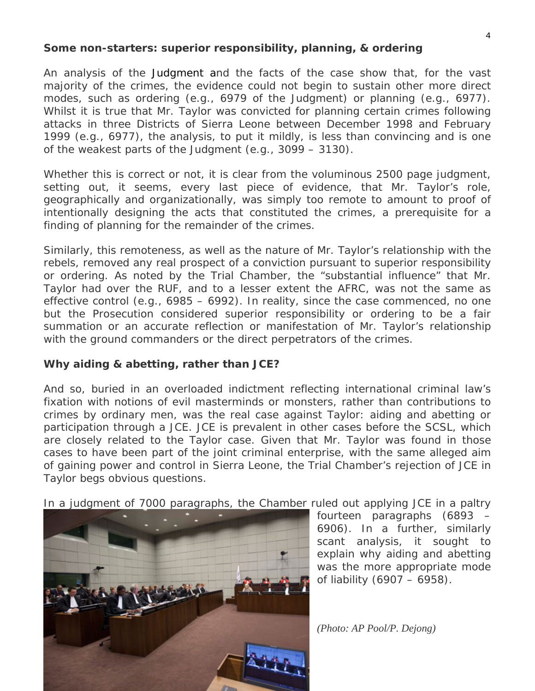### **Some non-starters: superior responsibility, planning, & ordering**

An analysis of the [Judgment](http://bit.ly/LFYfxP) and the facts of the case show that, for the vast majority of the crimes, the evidence could not begin to sustain other more direct modes, such as ordering (e.g., 6979 of the Judgment) or planning (e.g., 6977). Whilst it is true that Mr. Taylor was convicted for planning *certain* crimes following attacks in three Districts of Sierra Leone between December 1998 and February 1999 (e.g., 6977), the analysis, to put it mildly, is less than convincing and is one of the weakest parts of the Judgment (e.g., 3099 – 3130).

Whether this is correct or not, it is clear from the voluminous 2500 page judgment, setting out, it seems, every last piece of evidence, that Mr. Taylor's role, geographically and organizationally, was simply too remote to amount to proof of intentionally designing the acts that constituted the crimes, a prerequisite for a finding of planning for the remainder of the crimes.

Similarly, this remoteness, as well as the nature of Mr. Taylor's relationship with the rebels, removed any real prospect of a conviction pursuant to superior responsibility or ordering. As noted by the Trial Chamber, the "substantial influence" that Mr. Taylor had over the RUF, and to a lesser extent the AFRC, was not the same as effective control (e.g., 6985 – 6992). In reality, since the case commenced, no one but the Prosecution considered superior responsibility or ordering to be a fair summation or an accurate reflection or manifestation of Mr. Taylor's relationship with the ground commanders or the direct perpetrators of the crimes.

# **Why aiding & abetting, rather than JCE?**

And so, buried in an overloaded indictment reflecting international criminal law's fixation with notions of evil masterminds or monsters, rather than contributions to crimes by ordinary men, was the real case against Taylor: aiding and abetting or participation through a JCE. JCE is prevalent in other cases before the SCSL, which are closely related to the *Taylor* case. Given that Mr. Taylor was found in those cases to have been part of the joint criminal enterprise, with the same alleged aim of gaining power and control in Sierra Leone, the Trial Chamber's rejection of JCE in *Taylor* begs obvious questions.

[In a judgment of 7000 paragraphs, the Chamber r](http://ilawyerblog.com/wp-content/uploads/2012/06/Taylor-Judgment-.jpg)uled out applying JCE in a paltry



fourteen paragraphs (6893 – 6906). In a further, similarly scant analysis, it sought to explain why aiding and abetting was the more appropriate mode of liability (6907 – 6958).

*(Photo: AP Pool/P. Dejong)*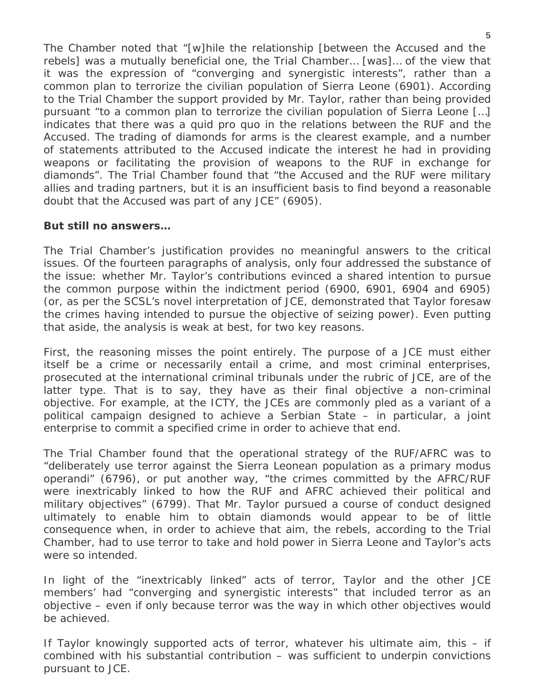The Chamber noted that "[w]hile the relationship [between the Accused and the rebels] was a mutually beneficial one, the Trial Chamber… [was]… of the view that it was the expression of "converging and synergistic interests", rather than a common plan to terrorize the civilian population of Sierra Leone (6901). According to the Trial Chamber the support provided by Mr. Taylor, rather than being provided pursuant "to a common plan to terrorize the civilian population of Sierra Leone […] indicates that there was a *quid pro quo* in the relations between the RUF and the Accused. The trading of diamonds for arms is the clearest example, and a number of statements attributed to the Accused indicate the interest he had in providing weapons or facilitating the provision of weapons to the RUF in exchange for diamonds". The Trial Chamber found that "the Accused and the RUF were military allies and trading partners, but it is an insufficient basis to find beyond a reasonable doubt that the Accused was part of any JCE" (6905).

# **But still no answers…**

The Trial Chamber's justification provides no meaningful answers to the critical issues. Of the fourteen paragraphs of analysis, only four addressed the substance of the issue: whether Mr. Taylor's contributions evinced a shared intention to pursue the common purpose within the indictment period (6900, 6901, 6904 and 6905) (or, as per the SCSL's novel interpretation of JCE, demonstrated that Taylor foresaw the crimes having intended to pursue the objective of seizing power). Even putting that aside, the analysis is weak at best, for two key reasons.

First, the reasoning misses the point entirely. The purpose of a JCE must either itself *be* a crime or *necessarily entail* a crime, and most criminal enterprises, prosecuted at the international criminal tribunals under the rubric of JCE, are of the latter type. That is to say, they have as their *final* objective a non-criminal objective. For example, at the ICTY, the JCEs are commonly pled as a variant of a political campaign designed to achieve a Serbian State – in particular, a joint enterprise to commit a specified crime in order to achieve that end.

The Trial Chamber found that the operational strategy of the RUF/AFRC was to "deliberately use terror against the Sierra Leonean population as a primary *modus operandi*" (6796), or put another way, "the crimes committed by the AFRC/RUF were inextricably linked to how the RUF and AFRC achieved their political and military objectives" (6799). That Mr. Taylor pursued a course of conduct designed ultimately to enable him to obtain diamonds would appear to be of little consequence when, in order to achieve that aim, the rebels, according to the Trial Chamber, had to use terror to take and hold power in Sierra Leone and Taylor's acts were so intended.

In light of the "inextricably linked" acts of terror, Taylor and the other JCE members' had "converging and synergistic interests" that included terror as an objective – even if only because terror was the way in which other objectives would be achieved.

If Taylor knowingly supported acts of terror, whatever his ultimate aim, this – if combined with his substantial contribution – was sufficient to underpin convictions pursuant to JCE.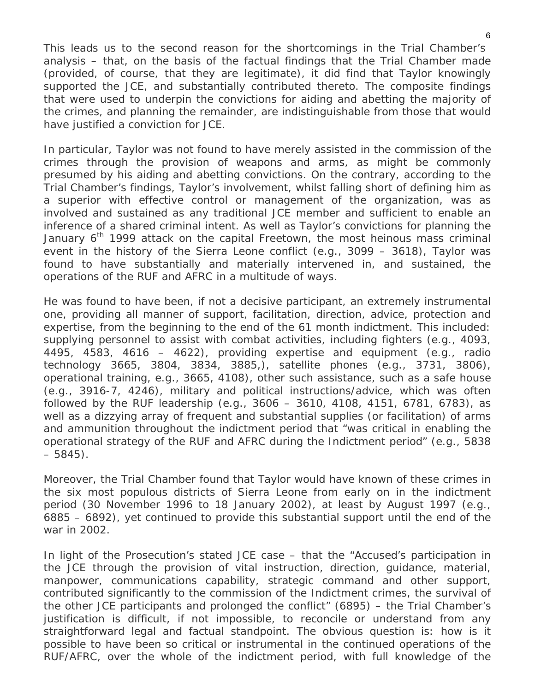This leads us to the second reason for the shortcomings in the Trial Chamber's analysis – that, on the basis of the factual findings that the Trial Chamber made (provided, of course, that they are legitimate), it *did* find that Taylor knowingly supported the JCE, and substantially contributed thereto. The composite findings that were used to underpin the convictions for aiding and abetting the majority of the crimes, and planning the remainder, are indistinguishable from those that would have justified a conviction for JCE.

In particular, Taylor was not found to have merely assisted in the commission of the crimes through the provision of weapons and arms, as might be commonly presumed by his aiding and abetting convictions. On the contrary, according to the Trial Chamber's findings, Taylor's involvement, whilst falling short of defining him as a superior with effective control or management of the organization, was as involved and sustained as any traditional JCE member and sufficient to enable an inference of a shared criminal intent. As well as Taylor's convictions for planning the January  $6<sup>th</sup>$  1999 attack on the capital Freetown, the most heinous mass criminal event in the history of the Sierra Leone conflict (e.g., 3099 – 3618), Taylor was found to have substantially and materially intervened in, and sustained, the operations of the RUF and AFRC in a multitude of ways.

He was found to have been, if not a decisive participant, an extremely instrumental one, providing all manner of support, facilitation, direction, advice, protection and expertise, from the beginning to the end of the 61 month indictment. This included: supplying personnel to assist with combat activities, including fighters (e.g., 4093, 4495, 4583, 4616 – 4622), providing expertise and equipment (e.g., radio technology 3665, 3804, 3834, 3885,), satellite phones (e.g., 3731, 3806), operational training, e.g., 3665, 4108), other such assistance, such as a safe house (e.g., 3916-7, 4246), military and political instructions/advice, which was often followed by the RUF leadership (e.g., 3606 – 3610, 4108, 4151, 6781, 6783), as well as a dizzying array of frequent and substantial supplies (or facilitation) of arms and ammunition throughout the indictment period that "was critical in enabling the operational strategy of the RUF and AFRC during the Indictment period" (e.g., 5838  $-5845$ ).

Moreover, the Trial Chamber found that Taylor would have known of these crimes in the six most populous districts of Sierra Leone from early on in the indictment period (30 November 1996 to 18 January 2002), at least by August 1997 (e.g., 6885 – 6892), yet continued to provide this substantial support until the end of the war in 2002.

In light of the Prosecution's stated JCE case – that the "Accused's participation in the JCE through the provision of vital instruction, direction, guidance, material, manpower, communications capability, strategic command and other support, contributed significantly to the commission of the Indictment crimes, the survival of the other JCE participants and prolonged the conflict" (6895) – the Trial Chamber's justification is difficult, if not impossible, to reconcile or understand from any straightforward legal and factual standpoint. The obvious question is: how is it possible to have been so critical or instrumental in the continued operations of the RUF/AFRC, over the whole of the indictment period, with full knowledge of the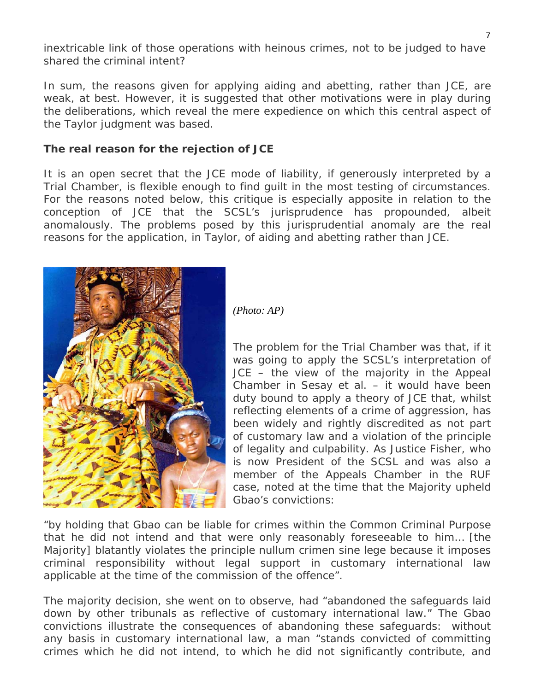inextricable link of those operations with heinous crimes, not to be judged to have shared the criminal intent?

In sum, the reasons given for applying aiding and abetting, rather than JCE, are weak, at best. However, it is suggested that other motivations were in play during the deliberations, which reveal the mere expedience on which this central aspect of the *Taylor* judgment was based.

#### **The real reason for the rejection of JCE**

It is an open secret that the JCE mode of liability, if generously interpreted by a Trial Chamber, is flexible enough to find guilt in the most testing of circumstances. For the reasons noted below, this critique is especially apposite in relation to the conception of JCE that the SCSL's jurisprudence has propounded, albeit anomalously. The problems posed by this jurisprudential anomaly are the real reasons for the application, in *Taylor*, of aiding and abetting rather than JCE.



*(Photo: AP)* 

The problem for the Trial Chamber was that, if it was going to apply the SCSL's interpretation of JCE – the view of the majority in the Appeal Chamber in *Sesay et al.* – it would have been duty bound to apply a theory of JCE that, whilst reflecting elements of a crime of aggression, has been widely and rightly discredited as not part of customary law and a violation of the principle of legality and culpability. As Justice Fisher, who is now President of the SCSL and was also a member of the Appeals Chamber in the RUF case, noted at the time that the Majority upheld Gbao's convictions:

"by holding that Gbao can be liable for crimes within the Common Criminal Purpose [that he did not intend and that w](http://ilawyerblog.com/wp-content/uploads/2012/06/Taylor-Sitting.jpg)ere only reasonably foreseeable to him… [the Majority] blatantly violates the principle *nullum crimen sine lege* because it imposes criminal responsibility without legal support in customary international law applicable at the time of the commission of the offence".

The majority decision, she went on to observe, had "abandoned the safeguards laid down by other tribunals as reflective of customary international law." The Gbao convictions illustrate the consequences of abandoning these safeguards: without any basis in customary international law, a man "stands convicted of committing crimes which he did not intend, to which he did not significantly contribute, and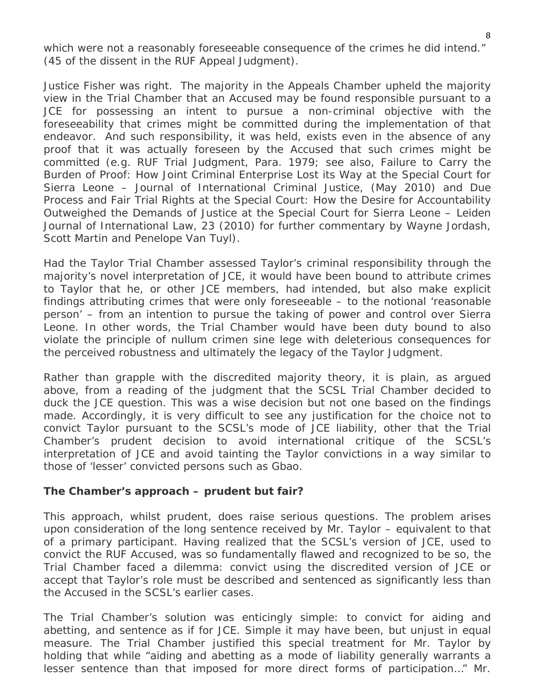which were not a reasonably foreseeable consequence of the crimes he did intend." (45 of the dissent in the *RUF* Appeal Judgment).

Justice Fisher was right. The majority in the Appeals Chamber upheld the majority view in the Trial Chamber that an Accused may be found responsible pursuant to a JCE for possessing an intent to pursue a non-criminal objective with the foreseeability that crimes might be committed during the implementation of that endeavor. And such responsibility, it was held, exists even in the absence of any proof that it was actually foreseen *by the Accused* that such crimes might be committed (e.g. RUF Trial Judgment, Para. 1979; see also, Failure to Carry the Burden of Proof: How Joint Criminal Enterprise Lost its Way at the Special Court for Sierra Leone – Journal of International Criminal Justice, (May 2010) and Due Process and Fair Trial Rights at the Special Court: How the Desire for Accountability Outweighed the Demands of Justice at the Special Court for Sierra Leone – Leiden Journal of International Law, 23 (2010) for further commentary by Wayne Jordash, Scott Martin and Penelope Van Tuyl).

Had the Taylor Trial Chamber assessed Taylor's criminal responsibility through the majority's novel interpretation of JCE, it would have been bound to attribute crimes to Taylor that he, or other JCE members, had intended, but also make explicit findings attributing crimes that were only foreseeable – to the notional 'reasonable person' – from an intention to pursue the taking of power and control over Sierra Leone. In other words, the Trial Chamber would have been duty bound to also violate the principle of *nullum crimen sine lege* with deleterious consequences for the perceived robustness and ultimately the legacy of the Taylor Judgment.

Rather than grapple with the discredited majority theory, it is plain, as argued above, from a reading of the judgment that the SCSL Trial Chamber decided to duck the JCE question. This was a wise decision but not one based on the findings made. Accordingly, it is very difficult to see any justification for the choice not to convict Taylor pursuant to the SCSL's mode of JCE liability, other that the Trial Chamber's prudent decision to avoid international critique of the SCSL's interpretation of JCE and avoid tainting the Taylor convictions in a way similar to those of 'lesser' convicted persons such as Gbao.

#### **The Chamber's approach – prudent but fair?**

This approach, whilst prudent, does raise serious questions. The problem arises upon consideration of the long sentence received by Mr. Taylor – equivalent to that of a primary participant. Having realized that the SCSL's version of JCE, used to convict the RUF Accused, was so fundamentally flawed and recognized to be so, the Trial Chamber faced a dilemma: convict using the discredited version of JCE or accept that Taylor's role must be described and sentenced as significantly less than the Accused in the SCSL's earlier cases.

The Trial Chamber's solution was enticingly simple: to convict for aiding and abetting, and sentence as if for JCE. Simple it may have been, but unjust in equal measure. The Trial Chamber justified this special treatment for Mr. Taylor by holding that while "aiding and abetting as a mode of liability generally warrants a lesser sentence than that imposed for more direct forms of participation…" Mr.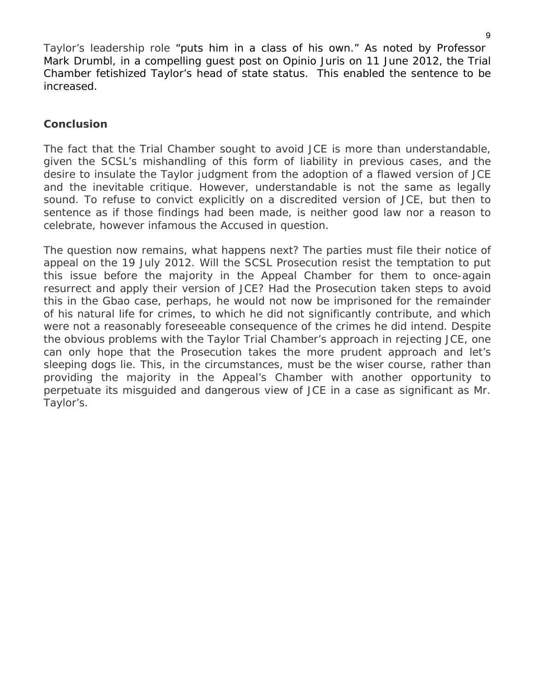Taylor's leadership role "puts him in a class of his own." As noted by Professor Mark Drumbl, in a compelling [guest post on Opinio Juris on 11 June 2012,](http://opiniojuris.org/2012/06/11/charles-taylor-sentencing-the-taylor-sentence-and-traditional-international-law/) the Trial Chamber fetishized Taylor's head of state status. This enabled the sentence to be increased.

# **Conclusion**

The fact that the Trial Chamber sought to avoid JCE is more than understandable, given the SCSL's mishandling of this form of liability in previous cases, and the desire to insulate the Taylor judgment from the adoption of a flawed version of JCE and the inevitable critique. However, understandable is not the same as legally sound. To refuse to convict explicitly on a discredited version of JCE, but then to sentence as if those findings had been made, is neither good law nor a reason to celebrate, however infamous the Accused in question.

The question now remains, what happens next? The parties must file their notice of appeal on the 19 July 2012. Will the SCSL Prosecution resist the temptation to put this issue before the majority in the Appeal Chamber for them to once-again resurrect and apply their version of JCE? Had the Prosecution taken steps to avoid this in the Gbao case, perhaps, he would not now be imprisoned for the remainder of his natural life for crimes, to which he did not significantly contribute, and which were not a reasonably foreseeable consequence of the crimes he did intend. Despite the obvious problems with the Taylor Trial Chamber's approach in rejecting JCE, one can only hope that the Prosecution takes the more prudent approach and let's sleeping dogs lie. This, in the circumstances, must be the wiser course, rather than providing the majority in the Appeal's Chamber with another opportunity to perpetuate its misguided and dangerous view of JCE in a case as significant as Mr. Taylor's.